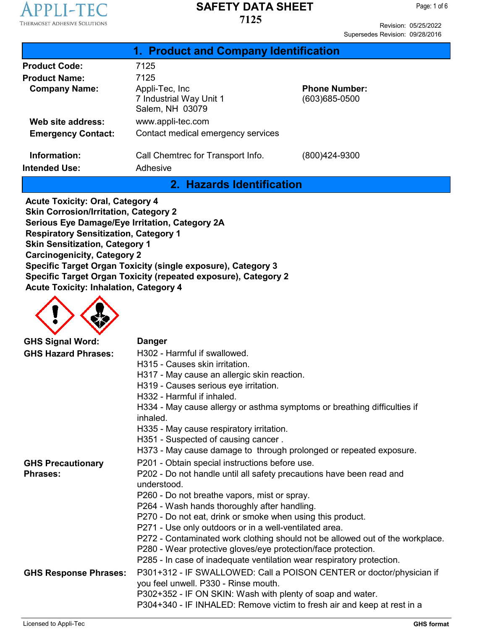

Revision: 05/25/2022 Supersedes Revision: 09/28/2016

|                                      | 1. Product and Company Identification                        |                                       |  |
|--------------------------------------|--------------------------------------------------------------|---------------------------------------|--|
| <b>Product Code:</b>                 | 7125                                                         |                                       |  |
| <b>Product Name:</b>                 | 7125                                                         |                                       |  |
| <b>Company Name:</b>                 | Appli-Tec, Inc<br>7 Industrial Way Unit 1<br>Salem, NH 03079 | <b>Phone Number:</b><br>(603)685-0500 |  |
| Web site address:                    | www.appli-tec.com                                            |                                       |  |
| <b>Emergency Contact:</b>            | Contact medical emergency services                           |                                       |  |
| Information:<br><b>Intended Use:</b> | Call Chemtrec for Transport Info.<br>Adhesive                | (800)424-9300                         |  |

**2. Hazards Identification**

**Acute Toxicity: Oral, Category 4 Skin Corrosion/Irritation, Category 2 Serious Eye Damage/Eye Irritation, Category 2A Respiratory Sensitization, Category 1 Skin Sensitization, Category 1 Carcinogenicity, Category 2 Specific Target Organ Toxicity (single exposure), Category 3 Specific Target Organ Toxicity (repeated exposure), Category 2 Acute Toxicity: Inhalation, Category 4**



| <b>GHS Signal Word:</b>      | <b>Danger</b>                                                                                                |
|------------------------------|--------------------------------------------------------------------------------------------------------------|
| <b>GHS Hazard Phrases:</b>   | H302 - Harmful if swallowed.                                                                                 |
|                              | H315 - Causes skin irritation.                                                                               |
|                              | H317 - May cause an allergic skin reaction.                                                                  |
|                              | H319 - Causes serious eye irritation.                                                                        |
|                              | H332 - Harmful if inhaled.                                                                                   |
|                              | H334 - May cause allergy or asthma symptoms or breathing difficulties if<br>inhaled.                         |
|                              | H335 - May cause respiratory irritation.                                                                     |
|                              | H351 - Suspected of causing cancer.                                                                          |
|                              | H373 - May cause damage to through prolonged or repeated exposure.                                           |
| <b>GHS Precautionary</b>     | P201 - Obtain special instructions before use.                                                               |
| <b>Phrases:</b>              | P202 - Do not handle until all safety precautions have been read and                                         |
|                              | understood                                                                                                   |
|                              | P260 - Do not breathe vapors, mist or spray.                                                                 |
|                              | P264 - Wash hands thoroughly after handling.                                                                 |
|                              | P270 - Do not eat, drink or smoke when using this product.                                                   |
|                              | P271 - Use only outdoors or in a well-ventilated area.                                                       |
|                              | P272 - Contaminated work clothing should not be allowed out of the workplace.                                |
|                              | P280 - Wear protective gloves/eye protection/face protection.                                                |
|                              | P285 - In case of inadequate ventilation wear respiratory protection.                                        |
| <b>GHS Response Phrases:</b> | P301+312 - IF SWALLOWED: Call a POISON CENTER or doctor/physician if<br>you feel unwell. P330 - Rinse mouth. |
|                              | P302+352 - IF ON SKIN: Wash with plenty of soap and water.                                                   |
|                              | P304+340 - IF INHALED: Remove victim to fresh air and keep at rest in a                                      |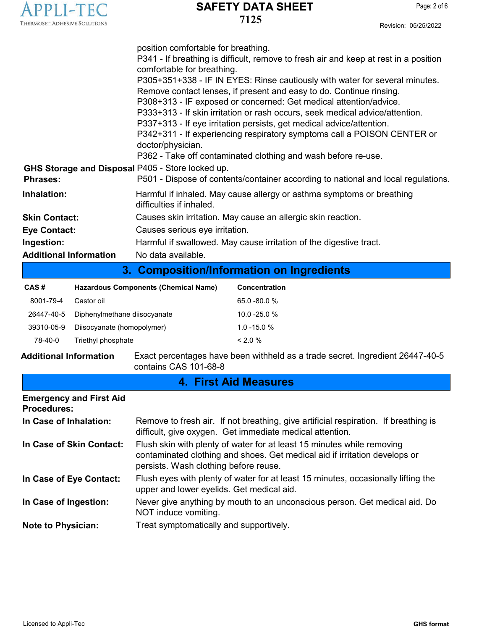| THERMOSET ADHESIVE SOLUTIONS |  |
|------------------------------|--|

| CAS #      | Hazardous Components (Chemical Name) | <b>Concentration</b> |
|------------|--------------------------------------|----------------------|
| 8001-79-4  | Castor oil                           | $65.0 - 80.0 %$      |
| 26447-40-5 | Diphenylmethane diisocyanate         | $10.0 - 25.0 %$      |
| 39310-05-9 | Diisocyanate (homopolymer)           | $1.0 - 15.0 %$       |
| 78-40-0    | Triethyl phosphate                   | $< 2.0\%$            |

**Additional Information** Exact percentages have been withheld as a trade secret. Ingredient 26447-40-5 contains CAS 101-68-8

| <b>4. First Aid Measures</b>                         |                                                                                                                                                                                               |  |
|------------------------------------------------------|-----------------------------------------------------------------------------------------------------------------------------------------------------------------------------------------------|--|
| <b>Emergency and First Aid</b><br><b>Procedures:</b> |                                                                                                                                                                                               |  |
| In Case of Inhalation:                               | Remove to fresh air. If not breathing, give artificial respiration. If breathing is<br>difficult, give oxygen. Get immediate medical attention.                                               |  |
| In Case of Skin Contact:                             | Flush skin with plenty of water for at least 15 minutes while removing<br>contaminated clothing and shoes. Get medical aid if irritation develops or<br>persists. Wash clothing before reuse. |  |
| In Case of Eye Contact:                              | Flush eyes with plenty of water for at least 15 minutes, occasionally lifting the<br>upper and lower eyelids. Get medical aid.                                                                |  |
| In Case of Ingestion:                                | Never give anything by mouth to an unconscious person. Get medical aid. Do<br>NOT induce vomiting.                                                                                            |  |
| <b>Note to Physician:</b>                            | Treat symptomatically and supportively.                                                                                                                                                       |  |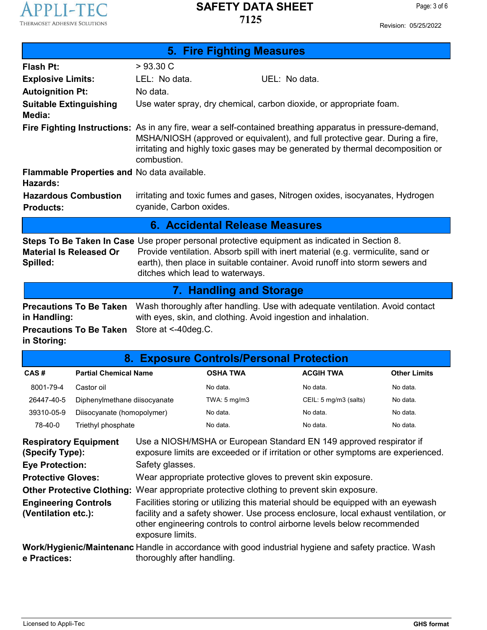

| <b>5. Fire Fighting Measures</b>                                                                                                                                                                                                                                                                                                                           |                              |                                             |                                                                                                                                                                                                                                                                              |                       |                     |
|------------------------------------------------------------------------------------------------------------------------------------------------------------------------------------------------------------------------------------------------------------------------------------------------------------------------------------------------------------|------------------------------|---------------------------------------------|------------------------------------------------------------------------------------------------------------------------------------------------------------------------------------------------------------------------------------------------------------------------------|-----------------------|---------------------|
| Flash Pt:                                                                                                                                                                                                                                                                                                                                                  |                              | >93.30 C                                    |                                                                                                                                                                                                                                                                              |                       |                     |
| <b>Explosive Limits:</b>                                                                                                                                                                                                                                                                                                                                   |                              | LEL: No data.                               | UEL: No data.                                                                                                                                                                                                                                                                |                       |                     |
| <b>Autoignition Pt:</b>                                                                                                                                                                                                                                                                                                                                    |                              | No data.                                    |                                                                                                                                                                                                                                                                              |                       |                     |
| <b>Suitable Extinguishing</b><br>Media:                                                                                                                                                                                                                                                                                                                    |                              |                                             | Use water spray, dry chemical, carbon dioxide, or appropriate foam.                                                                                                                                                                                                          |                       |                     |
|                                                                                                                                                                                                                                                                                                                                                            |                              | combustion.                                 | Fire Fighting Instructions: As in any fire, wear a self-contained breathing apparatus in pressure-demand,<br>MSHA/NIOSH (approved or equivalent), and full protective gear. During a fire,<br>irritating and highly toxic gases may be generated by thermal decomposition or |                       |                     |
| Hazards:                                                                                                                                                                                                                                                                                                                                                   |                              | Flammable Properties and No data available. |                                                                                                                                                                                                                                                                              |                       |                     |
| <b>Products:</b>                                                                                                                                                                                                                                                                                                                                           | <b>Hazardous Combustion</b>  | cyanide, Carbon oxides.                     | irritating and toxic fumes and gases, Nitrogen oxides, isocyanates, Hydrogen                                                                                                                                                                                                 |                       |                     |
|                                                                                                                                                                                                                                                                                                                                                            |                              |                                             | 6. Accidental Release Measures                                                                                                                                                                                                                                               |                       |                     |
| <b>Steps To Be Taken In Case</b> Use proper personal protective equipment as indicated in Section 8.<br><b>Material Is Released Or</b><br>Provide ventilation. Absorb spill with inert material (e.g. vermiculite, sand or<br>earth), then place in suitable container. Avoid runoff into storm sewers and<br>Spilled:<br>ditches which lead to waterways. |                              |                                             |                                                                                                                                                                                                                                                                              |                       |                     |
| <b>7. Handling and Storage</b>                                                                                                                                                                                                                                                                                                                             |                              |                                             |                                                                                                                                                                                                                                                                              |                       |                     |
| <b>Precautions To Be Taken</b><br>Wash thoroughly after handling. Use with adequate ventilation. Avoid contact<br>with eyes, skin, and clothing. Avoid ingestion and inhalation.<br>in Handling:<br><b>Precautions To Be Taken</b><br>Store at <-40deg.C.<br>in Storing:                                                                                   |                              |                                             |                                                                                                                                                                                                                                                                              |                       |                     |
| 8. Exposure Controls/Personal Protection                                                                                                                                                                                                                                                                                                                   |                              |                                             |                                                                                                                                                                                                                                                                              |                       |                     |
| CAS#                                                                                                                                                                                                                                                                                                                                                       | <b>Partial Chemical Name</b> |                                             | <b>OSHA TWA</b>                                                                                                                                                                                                                                                              | <b>ACGIH TWA</b>      | <b>Other Limits</b> |
| 8001-79-4                                                                                                                                                                                                                                                                                                                                                  | Castor oil                   |                                             | No data.                                                                                                                                                                                                                                                                     | No data.              | No data.            |
| 26447-40-5                                                                                                                                                                                                                                                                                                                                                 | Diphenylmethane diisocyanate |                                             | TWA: $5 \text{ mg/m}$ 3                                                                                                                                                                                                                                                      | CEIL: 5 mg/m3 (salts) | No data.            |
| 39310-05-9                                                                                                                                                                                                                                                                                                                                                 | Diisocyanate (homopolymer)   |                                             | No data.                                                                                                                                                                                                                                                                     | No data.              | No data.            |
| 78-40-0                                                                                                                                                                                                                                                                                                                                                    | Triethyl phosphate           |                                             | No data.                                                                                                                                                                                                                                                                     | No data.              | No data.            |

| <b>Respiratory Equipment</b><br>(Specify Type):    | Use a NIOSH/MSHA or European Standard EN 149 approved respirator if<br>exposure limits are exceeded or if irritation or other symptoms are experienced.                                                                                                               |
|----------------------------------------------------|-----------------------------------------------------------------------------------------------------------------------------------------------------------------------------------------------------------------------------------------------------------------------|
| <b>Eye Protection:</b>                             | Safety glasses.                                                                                                                                                                                                                                                       |
| <b>Protective Gloves:</b>                          | Wear appropriate protective gloves to prevent skin exposure.                                                                                                                                                                                                          |
|                                                    | Other Protective Clothing: Wear appropriate protective clothing to prevent skin exposure.                                                                                                                                                                             |
| <b>Engineering Controls</b><br>(Ventilation etc.): | Facilities storing or utilizing this material should be equipped with an eyewash<br>facility and a safety shower. Use process enclosure, local exhaust ventilation, or<br>other engineering controls to control airborne levels below recommended<br>exposure limits. |
| e Practices:                                       | Work/Hygienic/Maintenanc Handle in accordance with good industrial hygiene and safety practice. Wash<br>thoroughly after handling.                                                                                                                                    |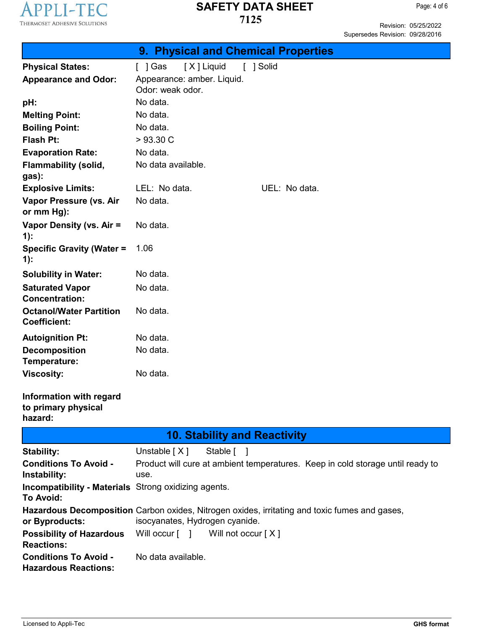

Revision: 05/25/2022 Supersedes Revision: 09/28/2016

|                                                                          | 9. Physical and Chemical Properties                                                                                             |
|--------------------------------------------------------------------------|---------------------------------------------------------------------------------------------------------------------------------|
| <b>Physical States:</b>                                                  | [ ] Gas<br>[X] Liquid<br>[ ] Solid                                                                                              |
| <b>Appearance and Odor:</b>                                              | Appearance: amber. Liquid.<br>Odor: weak odor.                                                                                  |
| pH:                                                                      | No data.                                                                                                                        |
| <b>Melting Point:</b>                                                    | No data.                                                                                                                        |
| <b>Boiling Point:</b>                                                    | No data.                                                                                                                        |
| Flash Pt:                                                                | >93.30 C                                                                                                                        |
| <b>Evaporation Rate:</b>                                                 | No data.                                                                                                                        |
| <b>Flammability (solid,</b><br>gas):                                     | No data available.                                                                                                              |
| <b>Explosive Limits:</b>                                                 | LEL: No data.<br>UEL: No data.                                                                                                  |
| Vapor Pressure (vs. Air<br>or mm Hg):                                    | No data.                                                                                                                        |
| Vapor Density (vs. Air =<br>$1)$ :                                       | No data.                                                                                                                        |
| <b>Specific Gravity (Water =</b><br>$1)$ :                               | 1.06                                                                                                                            |
| <b>Solubility in Water:</b>                                              | No data.                                                                                                                        |
| <b>Saturated Vapor</b><br><b>Concentration:</b>                          | No data.                                                                                                                        |
| <b>Octanol/Water Partition</b><br><b>Coefficient:</b>                    | No data.                                                                                                                        |
| <b>Autoignition Pt:</b>                                                  | No data.                                                                                                                        |
| <b>Decomposition</b><br>Temperature:                                     | No data.                                                                                                                        |
| <b>Viscosity:</b>                                                        | No data.                                                                                                                        |
| Information with regard<br>to primary physical<br>hazard:                |                                                                                                                                 |
|                                                                          | <b>10. Stability and Reactivity</b>                                                                                             |
| <b>Stability:</b>                                                        | Unstable $[X]$<br>Stable [ ]                                                                                                    |
| <b>Conditions To Avoid -</b>                                             | Product will cure at ambient temperatures. Keep in cold storage until ready to                                                  |
| Instability:                                                             | use.                                                                                                                            |
| <b>Incompatibility - Materials</b> Strong oxidizing agents.<br>To Avoid: |                                                                                                                                 |
| or Byproducts:                                                           | Hazardous Decomposition Carbon oxides, Nitrogen oxides, irritating and toxic fumes and gases,<br>isocyanates, Hydrogen cyanide. |
| <b>Possibility of Hazardous</b><br><b>Reactions:</b>                     | Will occur $\lceil \quad \rceil$<br>Will not occur [X]                                                                          |
| <b>Conditions To Avoid -</b><br><b>Hazardous Reactions:</b>              | No data available.                                                                                                              |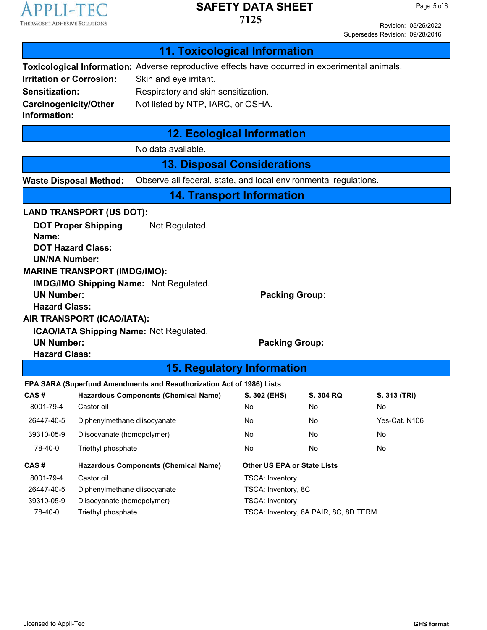

**7125**

Page: 5 of 6

Revision: 05/25/2022 Supersedes Revision: 09/28/2016

|                                                                                                                                                                                                   |                                                                                                                                                                                                      | <b>11. Toxicological Information</b>                                  |                                                                                                               |                                       |               |
|---------------------------------------------------------------------------------------------------------------------------------------------------------------------------------------------------|------------------------------------------------------------------------------------------------------------------------------------------------------------------------------------------------------|-----------------------------------------------------------------------|---------------------------------------------------------------------------------------------------------------|---------------------------------------|---------------|
| <b>Irritation or Corrosion:</b><br><b>Sensitization:</b><br><b>Carcinogenicity/Other</b><br>Information:                                                                                          | Toxicological Information: Adverse reproductive effects have occurred in experimental animals.<br>Skin and eye irritant.<br>Respiratory and skin sensitization.<br>Not listed by NTP, IARC, or OSHA. |                                                                       |                                                                                                               |                                       |               |
|                                                                                                                                                                                                   |                                                                                                                                                                                                      | <b>12. Ecological Information</b>                                     |                                                                                                               |                                       |               |
|                                                                                                                                                                                                   |                                                                                                                                                                                                      | No data available.                                                    |                                                                                                               |                                       |               |
|                                                                                                                                                                                                   |                                                                                                                                                                                                      | <b>13. Disposal Considerations</b>                                    |                                                                                                               |                                       |               |
|                                                                                                                                                                                                   | <b>Waste Disposal Method:</b>                                                                                                                                                                        | Observe all federal, state, and local environmental regulations.      |                                                                                                               |                                       |               |
|                                                                                                                                                                                                   |                                                                                                                                                                                                      | <b>14. Transport Information</b>                                      |                                                                                                               |                                       |               |
|                                                                                                                                                                                                   | <b>LAND TRANSPORT (US DOT):</b>                                                                                                                                                                      |                                                                       |                                                                                                               |                                       |               |
| <b>DOT Proper Shipping</b><br>Not Regulated.<br>Name:<br><b>DOT Hazard Class:</b><br><b>UN/NA Number:</b><br><b>MARINE TRANSPORT (IMDG/IMO):</b><br><b>IMDG/IMO Shipping Name: Not Regulated.</b> |                                                                                                                                                                                                      |                                                                       |                                                                                                               |                                       |               |
| <b>UN Number:</b><br><b>Packing Group:</b><br><b>Hazard Class:</b><br>AIR TRANSPORT (ICAO/IATA):<br><b>ICAO/IATA Shipping Name: Not Regulated.</b>                                                |                                                                                                                                                                                                      |                                                                       |                                                                                                               |                                       |               |
| <b>UN Number:</b><br><b>Packing Group:</b><br><b>Hazard Class:</b>                                                                                                                                |                                                                                                                                                                                                      |                                                                       |                                                                                                               |                                       |               |
|                                                                                                                                                                                                   |                                                                                                                                                                                                      | <b>15. Regulatory Information</b>                                     |                                                                                                               |                                       |               |
|                                                                                                                                                                                                   |                                                                                                                                                                                                      | EPA SARA (Superfund Amendments and Reauthorization Act of 1986) Lists |                                                                                                               |                                       |               |
| CAS#                                                                                                                                                                                              |                                                                                                                                                                                                      | <b>Hazardous Components (Chemical Name)</b>                           | S. 302 (EHS)                                                                                                  | <b>S. 304 RQ</b>                      | S. 313 (TRI)  |
| 8001-79-4                                                                                                                                                                                         | Castor oil                                                                                                                                                                                           |                                                                       | No                                                                                                            | No                                    | No            |
| 26447-40-5                                                                                                                                                                                        | Diphenylmethane diisocyanate                                                                                                                                                                         |                                                                       | No                                                                                                            | No                                    | Yes-Cat. N106 |
| 39310-05-9                                                                                                                                                                                        | Diisocyanate (homopolymer)                                                                                                                                                                           |                                                                       | No                                                                                                            | No                                    | No            |
| 78-40-0                                                                                                                                                                                           | Triethyl phosphate                                                                                                                                                                                   |                                                                       | No<br>No<br>No                                                                                                |                                       |               |
| CAS#<br>8001-79-4<br>26447-40-5<br>39310-05-9<br>78-40-0                                                                                                                                          | Castor oil<br>Diphenylmethane diisocyanate<br>Diisocyanate (homopolymer)<br>Triethyl phosphate                                                                                                       | <b>Hazardous Components (Chemical Name)</b>                           | <b>Other US EPA or State Lists</b><br><b>TSCA: Inventory</b><br>TSCA: Inventory, 8C<br><b>TSCA: Inventory</b> | TSCA: Inventory, 8A PAIR, 8C, 8D TERM |               |